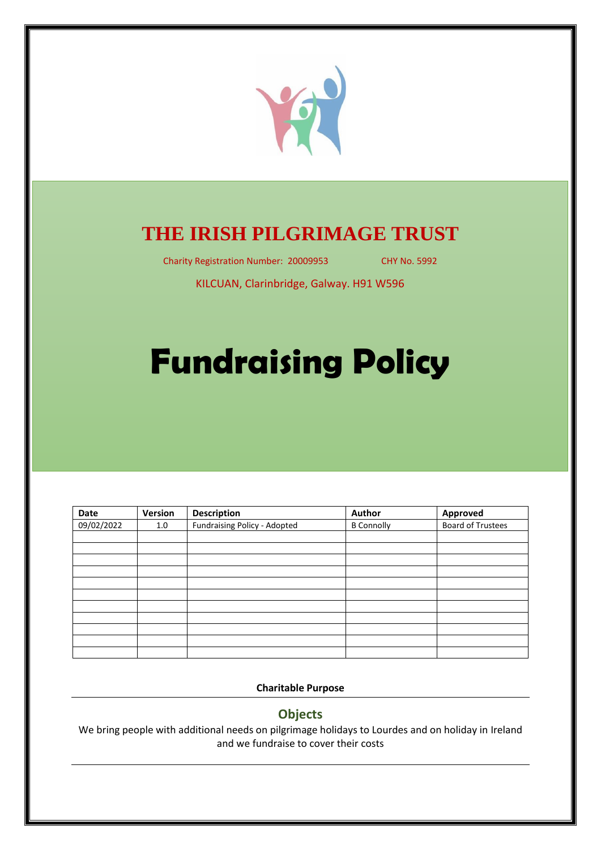

# **THE IRISH PILGRIMAGE TRUST**

Charity Registration Number: 20009953 CHY No. 5992

KILCUAN, Clarinbridge, Galway. H91 W596

# **Fundraising Policy**

| Date       | Version | <b>Description</b>           | Author            | Approved                 |  |
|------------|---------|------------------------------|-------------------|--------------------------|--|
| 09/02/2022 | 1.0     | Fundraising Policy - Adopted | <b>B</b> Connolly | <b>Board of Trustees</b> |  |
|            |         |                              |                   |                          |  |
|            |         |                              |                   |                          |  |
|            |         |                              |                   |                          |  |
|            |         |                              |                   |                          |  |
|            |         |                              |                   |                          |  |
|            |         |                              |                   |                          |  |
|            |         |                              |                   |                          |  |
|            |         |                              |                   |                          |  |
|            |         |                              |                   |                          |  |
|            |         |                              |                   |                          |  |
|            |         |                              |                   |                          |  |

**Charitable Purpose**

## **Objects**

We bring people with additional needs on pilgrimage holidays to Lourdes and on holiday in Ireland and we fundraise to cover their costs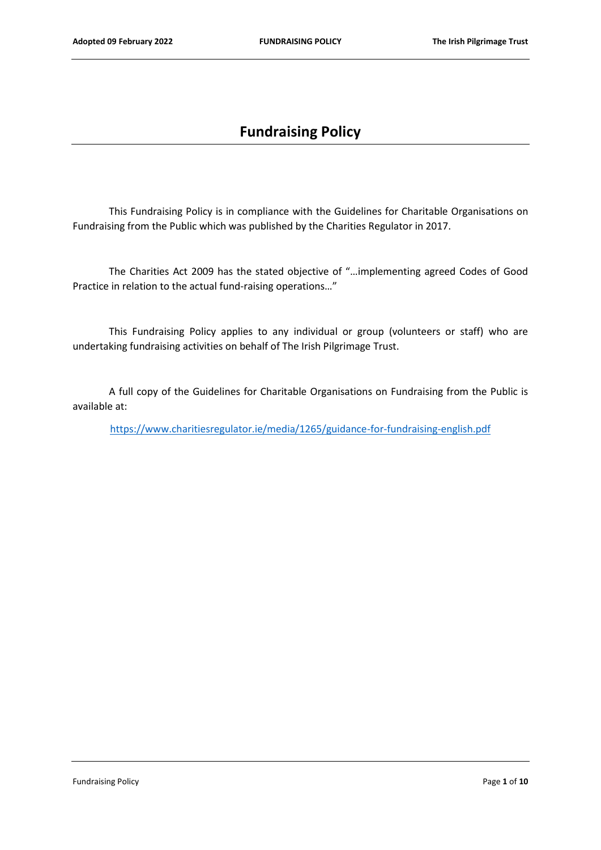# **Fundraising Policy**

This Fundraising Policy is in compliance with the Guidelines for Charitable Organisations on Fundraising from the Public which was published by the Charities Regulator in 2017.

The Charities Act 2009 has the stated objective of "…implementing agreed Codes of Good Practice in relation to the actual fund-raising operations…"

This Fundraising Policy applies to any individual or group (volunteers or staff) who are undertaking fundraising activities on behalf of The Irish Pilgrimage Trust.

A full copy of the Guidelines for Charitable Organisations on Fundraising from the Public is available at:

<https://www.charitiesregulator.ie/media/1265/guidance-for-fundraising-english.pdf>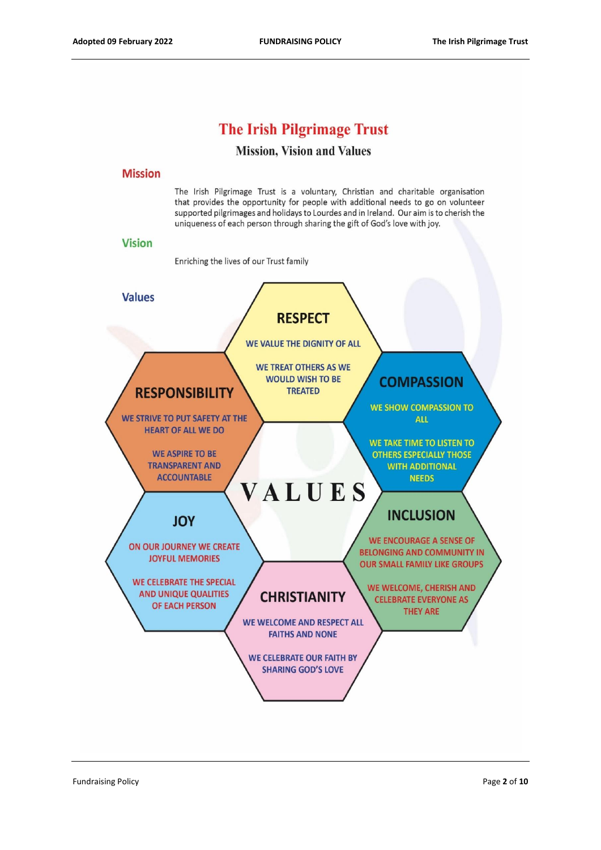# **The Irish Pilgrimage Trust**

#### **Mission, Vision and Values**

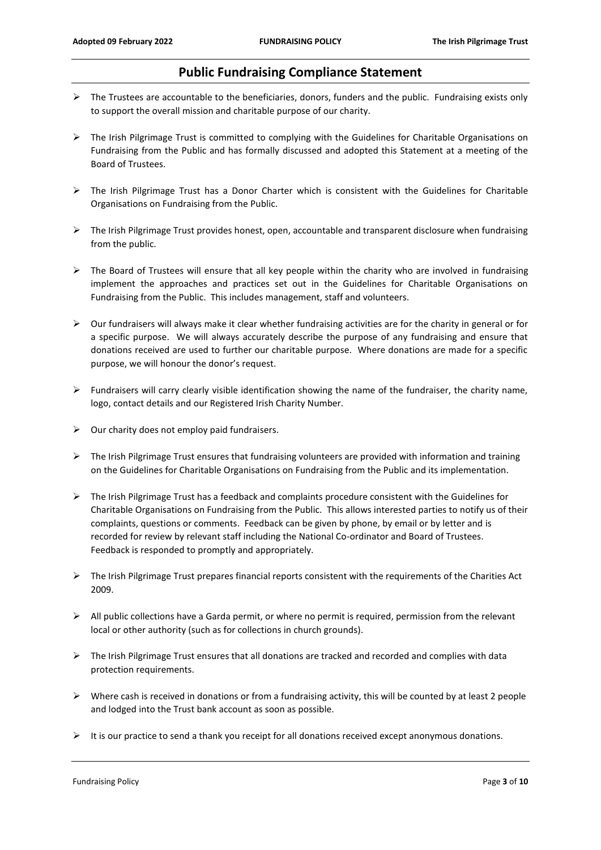#### **Public Fundraising Compliance Statement**

- $\triangleright$  The Trustees are accountable to the beneficiaries, donors, funders and the public. Fundraising exists only to support the overall mission and charitable purpose of our charity.
- ➢ The Irish Pilgrimage Trust is committed to complying with the Guidelines for Charitable Organisations on Fundraising from the Public and has formally discussed and adopted this Statement at a meeting of the Board of Trustees.
- ➢ The Irish Pilgrimage Trust has a Donor Charter which is consistent with the Guidelines for Charitable Organisations on Fundraising from the Public.
- ➢ The Irish Pilgrimage Trust provides honest, open, accountable and transparent disclosure when fundraising from the public.
- $\triangleright$  The Board of Trustees will ensure that all key people within the charity who are involved in fundraising implement the approaches and practices set out in the Guidelines for Charitable Organisations on Fundraising from the Public. This includes management, staff and volunteers.
- $\triangleright$  Our fundraisers will always make it clear whether fundraising activities are for the charity in general or for a specific purpose. We will always accurately describe the purpose of any fundraising and ensure that donations received are used to further our charitable purpose. Where donations are made for a specific purpose, we will honour the donor's request.
- ➢ Fundraisers will carry clearly visible identification showing the name of the fundraiser, the charity name, logo, contact details and our Registered Irish Charity Number.
- $\triangleright$  Our charity does not employ paid fundraisers.
- ➢ The Irish Pilgrimage Trust ensures that fundraising volunteers are provided with information and training on the Guidelines for Charitable Organisations on Fundraising from the Public and its implementation.
- ➢ The Irish Pilgrimage Trust has a feedback and complaints procedure consistent with the Guidelines for Charitable Organisations on Fundraising from the Public. This allows interested parties to notify us of their complaints, questions or comments. Feedback can be given by phone, by email or by letter and is recorded for review by relevant staff including the National Co-ordinator and Board of Trustees. Feedback is responded to promptly and appropriately.
- ➢ The Irish Pilgrimage Trust prepares financial reports consistent with the requirements of the Charities Act 2009.
- ➢ All public collections have a Garda permit, or where no permit is required, permission from the relevant local or other authority (such as for collections in church grounds).
- ➢ The Irish Pilgrimage Trust ensures that all donations are tracked and recorded and complies with data protection requirements.
- $\triangleright$  Where cash is received in donations or from a fundraising activity, this will be counted by at least 2 people and lodged into the Trust bank account as soon as possible.
- $\triangleright$  It is our practice to send a thank you receipt for all donations received except anonymous donations.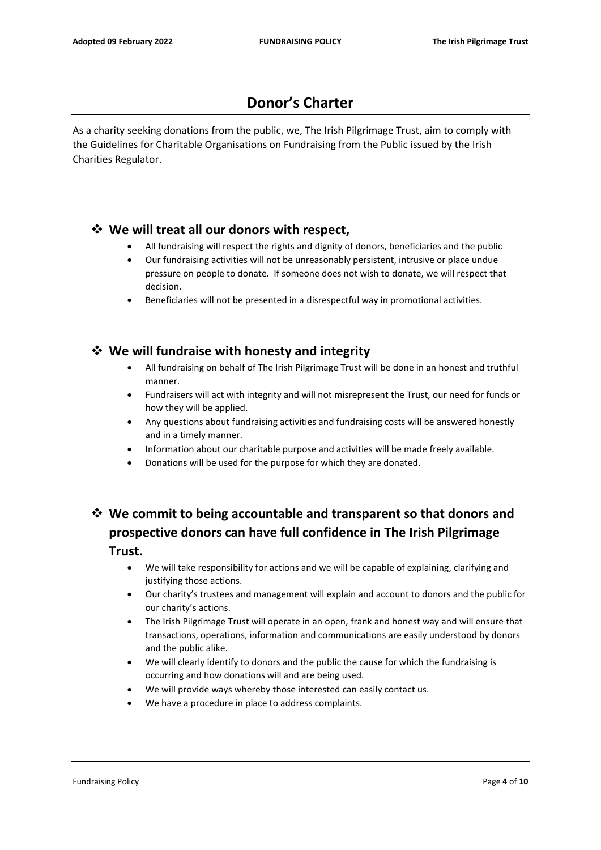# **Donor's Charter**

As a charity seeking donations from the public, we, The Irish Pilgrimage Trust, aim to comply with the Guidelines for Charitable Organisations on Fundraising from the Public issued by the Irish Charities Regulator.

#### ❖ **We will treat all our donors with respect,**

- All fundraising will respect the rights and dignity of donors, beneficiaries and the public
- Our fundraising activities will not be unreasonably persistent, intrusive or place undue pressure on people to donate. If someone does not wish to donate, we will respect that decision.
- Beneficiaries will not be presented in a disrespectful way in promotional activities.

#### ❖ **We will fundraise with honesty and integrity**

- All fundraising on behalf of The Irish Pilgrimage Trust will be done in an honest and truthful manner.
- Fundraisers will act with integrity and will not misrepresent the Trust, our need for funds or how they will be applied.
- Any questions about fundraising activities and fundraising costs will be answered honestly and in a timely manner.
- Information about our charitable purpose and activities will be made freely available.
- Donations will be used for the purpose for which they are donated.

# ❖ **We commit to being accountable and transparent so that donors and prospective donors can have full confidence in The Irish Pilgrimage Trust.**

- We will take responsibility for actions and we will be capable of explaining, clarifying and justifying those actions.
- Our charity's trustees and management will explain and account to donors and the public for our charity's actions.
- The Irish Pilgrimage Trust will operate in an open, frank and honest way and will ensure that transactions, operations, information and communications are easily understood by donors and the public alike.
- We will clearly identify to donors and the public the cause for which the fundraising is occurring and how donations will and are being used.
- We will provide ways whereby those interested can easily contact us.
- We have a procedure in place to address complaints.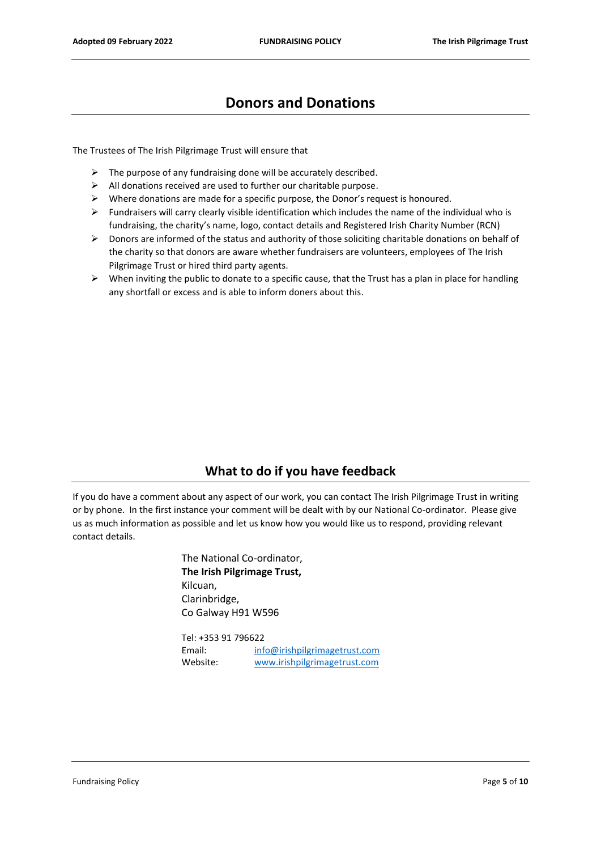# **Donors and Donations**

The Trustees of The Irish Pilgrimage Trust will ensure that

- $\triangleright$  The purpose of any fundraising done will be accurately described.
- ➢ All donations received are used to further our charitable purpose.
- $\triangleright$  Where donations are made for a specific purpose, the Donor's request is honoured.
- $\triangleright$  Fundraisers will carry clearly visible identification which includes the name of the individual who is fundraising, the charity's name, logo, contact details and Registered Irish Charity Number (RCN)
- $\triangleright$  Donors are informed of the status and authority of those soliciting charitable donations on behalf of the charity so that donors are aware whether fundraisers are volunteers, employees of The Irish Pilgrimage Trust or hired third party agents.
- ➢ When inviting the public to donate to a specific cause, that the Trust has a plan in place for handling any shortfall or excess and is able to inform doners about this.

## **What to do if you have feedback**

If you do have a comment about any aspect of our work, you can contact The Irish Pilgrimage Trust in writing or by phone. In the first instance your comment will be dealt with by our National Co-ordinator. Please give us as much information as possible and let us know how you would like us to respond, providing relevant contact details.

> The National Co-ordinator, **The Irish Pilgrimage Trust,** Kilcuan, Clarinbridge, Co Galway H91 W596

Tel: +353 91 796622 Email: [info@irishpilgrimagetrust.com](mailto:info@irishpilgrimagetrust.com) Website: [www.irishpilgrimagetrust.com](http://www.irishpilgrimagetrust.com/)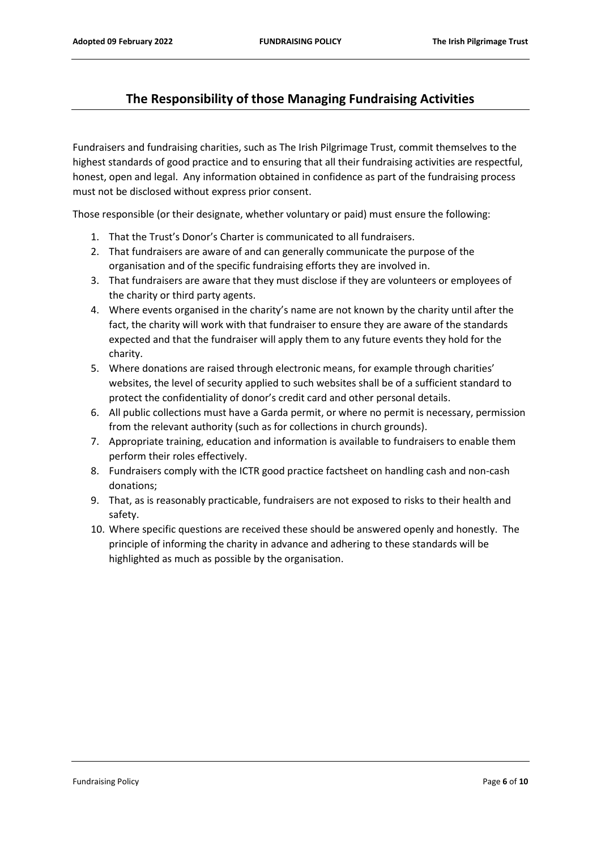#### **The Responsibility of those Managing Fundraising Activities**

Fundraisers and fundraising charities, such as The Irish Pilgrimage Trust, commit themselves to the highest standards of good practice and to ensuring that all their fundraising activities are respectful, honest, open and legal. Any information obtained in confidence as part of the fundraising process must not be disclosed without express prior consent.

Those responsible (or their designate, whether voluntary or paid) must ensure the following:

- 1. That the Trust's Donor's Charter is communicated to all fundraisers.
- 2. That fundraisers are aware of and can generally communicate the purpose of the organisation and of the specific fundraising efforts they are involved in.
- 3. That fundraisers are aware that they must disclose if they are volunteers or employees of the charity or third party agents.
- 4. Where events organised in the charity's name are not known by the charity until after the fact, the charity will work with that fundraiser to ensure they are aware of the standards expected and that the fundraiser will apply them to any future events they hold for the charity.
- 5. Where donations are raised through electronic means, for example through charities' websites, the level of security applied to such websites shall be of a sufficient standard to protect the confidentiality of donor's credit card and other personal details.
- 6. All public collections must have a Garda permit, or where no permit is necessary, permission from the relevant authority (such as for collections in church grounds).
- 7. Appropriate training, education and information is available to fundraisers to enable them perform their roles effectively.
- 8. Fundraisers comply with the ICTR good practice factsheet on handling cash and non-cash donations;
- 9. That, as is reasonably practicable, fundraisers are not exposed to risks to their health and safety.
- 10. Where specific questions are received these should be answered openly and honestly. The principle of informing the charity in advance and adhering to these standards will be highlighted as much as possible by the organisation.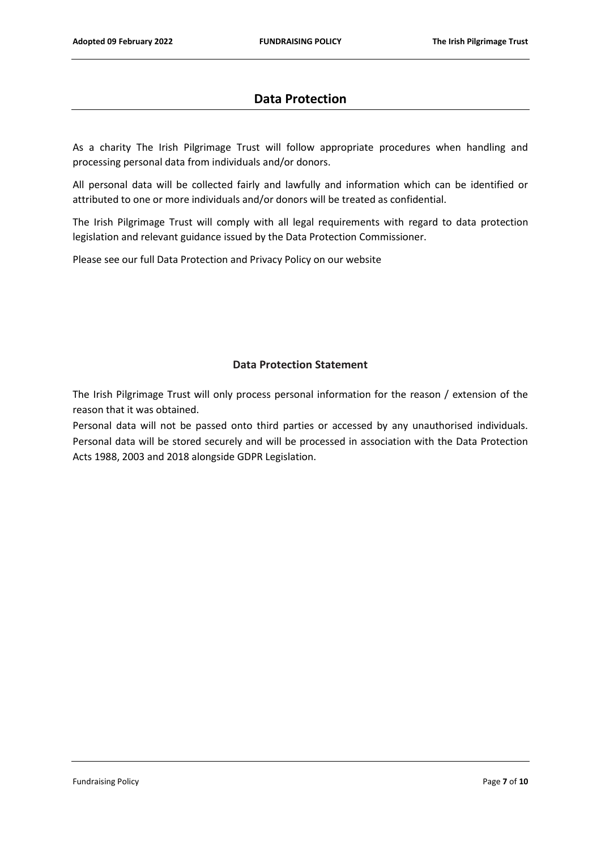## **Data Protection**

As a charity The Irish Pilgrimage Trust will follow appropriate procedures when handling and processing personal data from individuals and/or donors.

All personal data will be collected fairly and lawfully and information which can be identified or attributed to one or more individuals and/or donors will be treated as confidential.

The Irish Pilgrimage Trust will comply with all legal requirements with regard to data protection legislation and relevant guidance issued by the Data Protection Commissioner.

Please see our full Data Protection and Privacy Policy on our website

#### **Data Protection Statement**

The Irish Pilgrimage Trust will only process personal information for the reason / extension of the reason that it was obtained.

Personal data will not be passed onto third parties or accessed by any unauthorised individuals. Personal data will be stored securely and will be processed in association with the Data Protection Acts 1988, 2003 and 2018 alongside GDPR Legislation.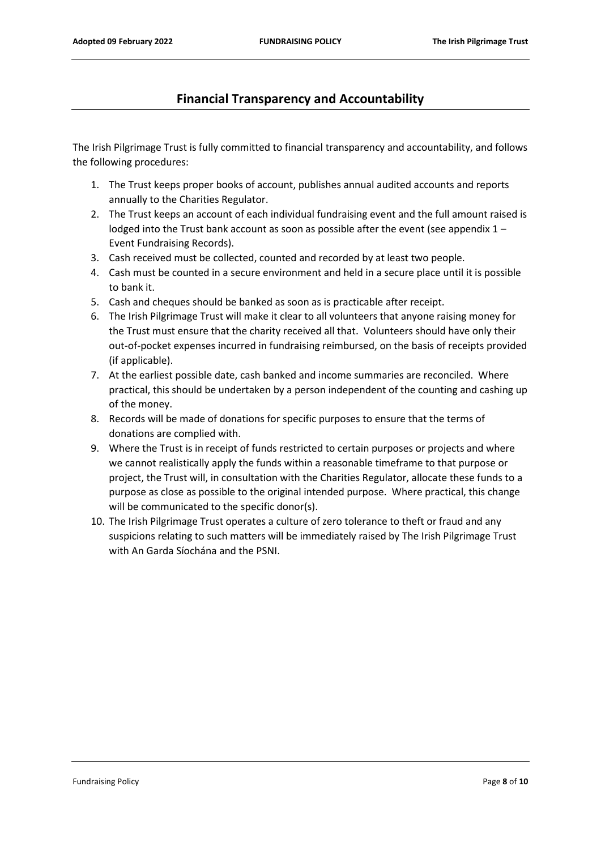## **Financial Transparency and Accountability**

The Irish Pilgrimage Trust is fully committed to financial transparency and accountability, and follows the following procedures:

- 1. The Trust keeps proper books of account, publishes annual audited accounts and reports annually to the Charities Regulator.
- 2. The Trust keeps an account of each individual fundraising event and the full amount raised is lodged into the Trust bank account as soon as possible after the event (see appendix 1 – Event Fundraising Records).
- 3. Cash received must be collected, counted and recorded by at least two people.
- 4. Cash must be counted in a secure environment and held in a secure place until it is possible to bank it.
- 5. Cash and cheques should be banked as soon as is practicable after receipt.
- 6. The Irish Pilgrimage Trust will make it clear to all volunteers that anyone raising money for the Trust must ensure that the charity received all that. Volunteers should have only their out-of-pocket expenses incurred in fundraising reimbursed, on the basis of receipts provided (if applicable).
- 7. At the earliest possible date, cash banked and income summaries are reconciled. Where practical, this should be undertaken by a person independent of the counting and cashing up of the money.
- 8. Records will be made of donations for specific purposes to ensure that the terms of donations are complied with.
- 9. Where the Trust is in receipt of funds restricted to certain purposes or projects and where we cannot realistically apply the funds within a reasonable timeframe to that purpose or project, the Trust will, in consultation with the Charities Regulator, allocate these funds to a purpose as close as possible to the original intended purpose. Where practical, this change will be communicated to the specific donor(s).
- 10. The Irish Pilgrimage Trust operates a culture of zero tolerance to theft or fraud and any suspicions relating to such matters will be immediately raised by The Irish Pilgrimage Trust with An Garda Síochána and the PSNI.